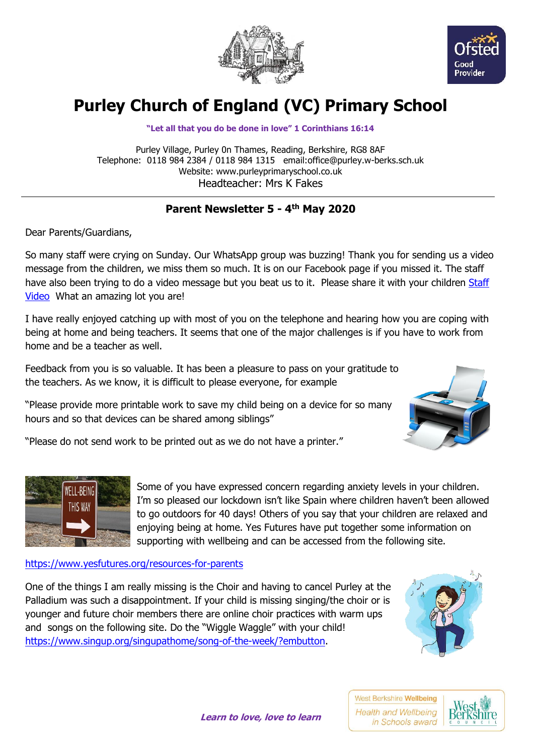



## **Purley Church of England (VC) Primary School**

**"Let all that you do be done in love" 1 Corinthians 16:14**

Purley Village, Purley 0n Thames, Reading, Berkshire, RG8 8AF Telephone: 0118 984 2384 / 0118 984 1315 email:office@purley.w-berks.sch.uk Website: www.purleyprimaryschool.co.uk Headteacher: Mrs K Fakes

## **Parent Newsletter 5 - 4 th May 2020**

Dear Parents/Guardians,

So many staff were crying on Sunday. Our WhatsApp group was buzzing! Thank you for sending us a video message from the children, we miss them so much. It is on our Facebook page if you missed it. The staff have also been trying to do a video message but you beat us to it. Please share it with your children [Staff](https://purleywberks-my.sharepoint.com/:v:/g/personal/headteacher_purley_w-berks_sch_uk/EZZJyZlF5P1NrYUppoKykzIBU40V-JBZ6NhvE6kEneoZjg?e=NFQ6Qk)  [Video](https://purleywberks-my.sharepoint.com/:v:/g/personal/headteacher_purley_w-berks_sch_uk/EZZJyZlF5P1NrYUppoKykzIBU40V-JBZ6NhvE6kEneoZjg?e=NFQ6Qk) What an amazing lot you are!

I have really enjoyed catching up with most of you on the telephone and hearing how you are coping with being at home and being teachers. It seems that one of the major challenges is if you have to work from home and be a teacher as well.

Feedback from you is so valuable. It has been a pleasure to pass on your gratitude to the teachers. As we know, it is difficult to please everyone, for example

"Please provide more printable work to save my child being on a device for so many hours and so that devices can be shared among siblings"



"Please do not send work to be printed out as we do not have a printer."



Some of you have expressed concern regarding anxiety levels in your children. I'm so pleased our lockdown isn't like Spain where children haven't been allowed to go outdoors for 40 days! Others of you say that your children are relaxed and enjoying being at home. Yes Futures have put together some information on supporting with wellbeing and can be accessed from the following site.

## <https://www.yesfutures.org/resources-for-parents>

One of the things I am really missing is the Choir and having to cancel Purley at the Palladium was such a disappointment. If your child is missing singing/the choir or is younger and future choir members there are online choir practices with warm ups and songs on the following site. Do the "Wiggle Waggle" with your child! [https://www.singup.org/singupathome/song-of-the-week/?embutton.](https://www.singup.org/singupathome/song-of-the-week/?embutton)



West Berkshire Wellbeing **Health and Wellbeing** in Schools award